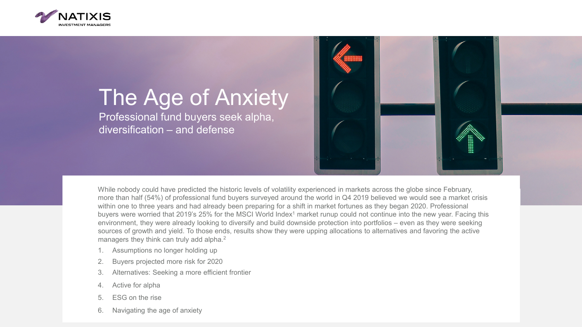

# The Age of Anxiety

Professional fund buyers seek alpha, diversification – and defense



While nobody could have predicted the historic levels of volatility experienced in markets across the globe since February, more than half (54%) of professional fund buyers surveyed around the world in Q4 2019 believed we would see a market crisis within one to three years and had already been preparing for a shift in market fortunes as they began 2020. Professional buyers were worried that 2019's 25% for the MSCI World Index<sup>1</sup> market runup could not continue into the new year. Facing this environment, they were already looking to diversify and build downside protection into portfolios – even as they were seeking sources of growth and yield. To those ends, results show they were upping allocations to alternatives and favoring the active managers they think can truly add alpha.<sup>2</sup>

- Assumptions no longer holding up
- 2. Buyers projected more risk for 2020
- 3. Alternatives: Seeking a more efficient frontier
- 4. Active for alpha
- 5. ESG on the rise
- 6. Navigating the age of anxiety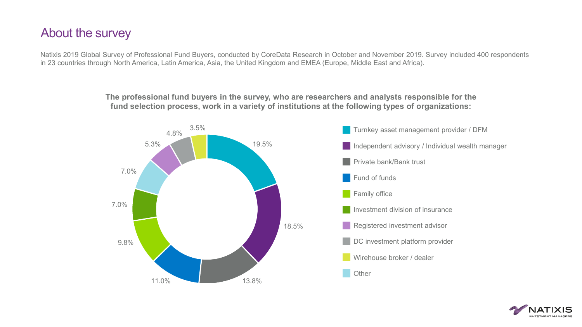### About the survey

Natixis 2019 Global Survey of Professional Fund Buyers, conducted by CoreData Research in October and November 2019. Survey included 400 respondents in 23 countries through North America, Latin America, Asia, the United Kingdom and EMEA (Europe, Middle East and Africa).

> **The professional fund buyers in the survey, who are researchers and analysts responsible for the fund selection process, work in a variety of institutions at the following types of organizations:**



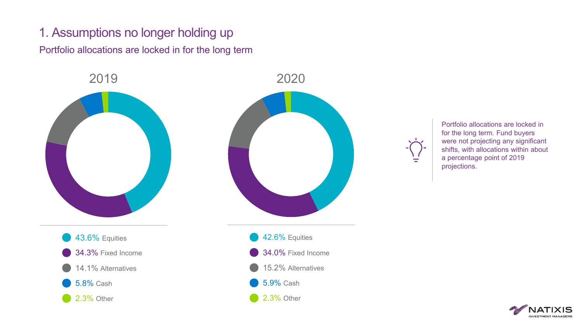Portfolio allocations are locked in for the long term



43.6% Equities 34.3% Fixed Income 14.1% Alternatives 5.8% Cash 2.3% Other



42.6% Equities 34.0% Fixed Income 15.2% Alternatives 5.9% Cash 2.3% Other



Portfolio allocations are locked in for the long term. Fund buyers were not projecting any significant shifts, with allocations within about a percentage point of 2019 projections.

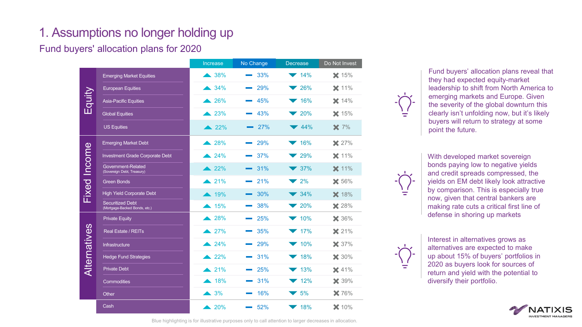Fund buyers' allocation plans for 2020

|                     |                                                          | Increase        | No Change | <b>Decrease</b>          | Do Not Invest |
|---------------------|----------------------------------------------------------|-----------------|-----------|--------------------------|---------------|
| Equity              | <b>Emerging Market Equities</b>                          | $\triangle$ 38% | 33%       | $\blacktriangledown$ 14% | $\times$ 15%  |
|                     | <b>European Equities</b>                                 | $\triangle$ 34% | 29%       | $\blacktriangledown$ 26% | <b>X</b> 11%  |
|                     | Asia-Pacific Equities                                    | $\triangle$ 26% | 45%       | $\blacktriangledown$ 16% | $\times$ 14%  |
|                     | <b>Global Equities</b>                                   | $\triangle$ 23% | $-43%$    | $\blacktriangledown$ 20% | <b>X</b> 15%  |
|                     | <b>US Equities</b>                                       | $\triangle$ 22% | 27%       | $\blacktriangledown$ 44% | $\times$ 7%   |
| <b>Fixed Income</b> | <b>Emerging Market Debt</b>                              | $\triangle$ 28% | 29%       | 16%                      | <b>X</b> 27%  |
|                     | Investment Grade Corporate Debt                          | $\triangle$ 24% | 37%       | $\blacktriangledown$ 29% | <b>X</b> 11%  |
|                     | Government-Related<br>(Sovereign Debt, Treasury)         | $\triangle$ 22% | 31%       | $\blacktriangledown$ 37% | <b>X</b> 11%  |
|                     | <b>Green Bonds</b>                                       | $\triangle$ 21% | 21%       | 2%                       | <b>X</b> 56%  |
|                     | <b>High Yield Corporate Debt</b>                         | $\triangle$ 19% | 30%       | $\blacktriangledown$ 34% | <b>X</b> 18%  |
|                     | <b>Securitized Debt</b><br>(Mortgage-Backed Bonds, etc.) | $\triangle$ 15% | 38%       | $\blacktriangledown$ 20% | <b>X</b> 28%  |
| Alternatives        | <b>Private Equity</b>                                    | $\triangle$ 28% | 25%       | $\blacktriangledown$ 10% | <b>X</b> 36%  |
|                     | Real Estate / REITs                                      | $\triangle$ 27% | 35%       | $\blacktriangledown$ 17% | $\times$ 21%  |
|                     | Infrastructure                                           | $\triangle$ 24% | 29%       | $\blacktriangledown$ 10% | <b>X</b> 37%  |
|                     | <b>Hedge Fund Strategies</b>                             | $\triangle$ 22% | 31%       | $\blacktriangledown$ 18% | <b>X</b> 30%  |
|                     | <b>Private Debt</b>                                      | $\triangle$ 21% | 25%       | $\blacktriangledown$ 13% | <b>X</b> 41%  |
|                     | Commodities                                              | $\triangle$ 18% | 31%       | $\blacktriangledown$ 12% | $\times$ 39%  |
|                     | Other                                                    | $\triangle$ 3%  | 16%       | $\blacktriangledown 5\%$ | <b>X</b> 76%  |
|                     | Cash                                                     | $\triangle$ 20% | $-52%$    | $\blacktriangledown$ 18% | <b>X</b> 10%  |



Fund buyers' allocation plans reveal that they had expected equity-market leadership to shift from North America to emerging markets and Europe. Given the severity of the global downturn this clearly isn't unfolding now, but it's likely buyers will return to strategy at some point the future.



With developed market sovereign bonds paying low to negative yields and credit spreads compressed, the yields on EM debt likely look attractive by comparison. This is especially true now, given that central bankers are making rate cuts a critical first line of defense in shoring up markets



Interest in alternatives grows as alternatives are expected to make up about 15% of buyers' portfolios in 2020 as buyers look for sources of return and yield with the potential to diversify their portfolio.



Blue highlighting is for illustrative purposes only to call attention to larger decreases in allocation.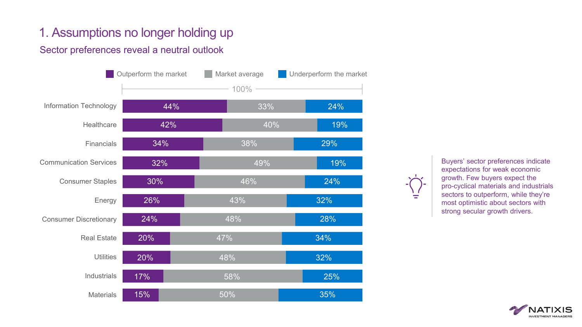#### Sector preferences reveal a neutral outlook





Buyers' sector preferences indicate expectations for weak economic growth. Few buyers expect the pro-cyclical materials and industrials sectors to outperform, while they're most optimistic about sectors with strong secular growth drivers.

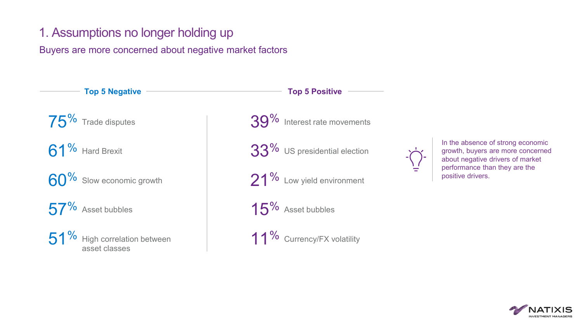Buyers are more concerned about negative market factors

In the absence of strong economic growth, buyers are more concerned about negative drivers of market performance than they are the positive drivers. **Top 5 Negative** 75% Trade disputes 61<sup>%</sup> Hard Brexit 60% Slow economic growth 57% Asset bubbles High correlation between asset classes 51% **Top 5 Positive** 39% Interest rate movements 33% US presidential election 21% Low yield environment  $15%$  Asset bubbles 11% Currency/FX volatility

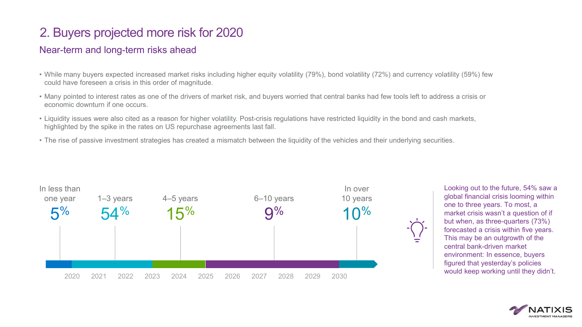#### Near-term and long-term risks ahead

- While many buyers expected increased market risks including higher equity volatility (79%), bond volatility (72%) and currency volatility (59%) few could have foreseen a crisis in this order of magnitude.
- Many pointed to interest rates as one of the drivers of market risk, and buyers worried that central banks had few tools left to address a crisis or economic downturn if one occurs.
- Liquidity issues were also cited as a reason for higher volatility. Post-crisis regulations have restricted liquidity in the bond and cash markets, highlighted by the spike in the rates on US repurchase agreements last fall.
- The rise of passive investment strategies has created a mismatch between the liquidity of the vehicles and their underlying securities.



Looking out to the future, 54% saw a global financial crisis looming within one to three years. To most, a market crisis wasn't a question of if but when, as three-quarters (73%) forecasted a crisis within five years. This may be an outgrowth of the central bank-driven market environment: In essence, buyers figured that yesterday's policies would keep working until they didn't.

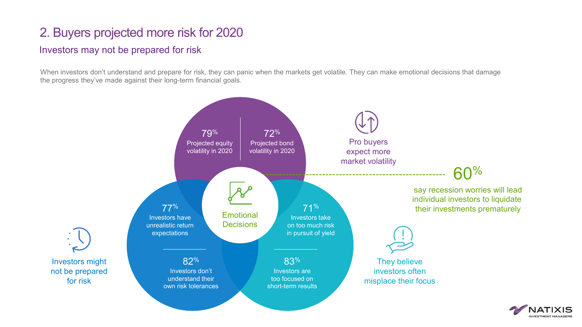#### Investors may not be prepared for risk

When investors don't understand and prepare for risk, they can panic when the markets get volatile. They can make emotional decisions that damage the progress they've made against their long-term financial goals.

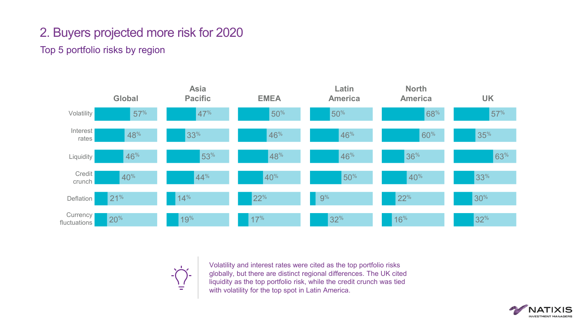Top 5 portfolio risks by region





Volatility and interest rates were cited as the top portfolio risks globally, but there are distinct regional differences. The UK cited liquidity as the top portfolio risk, while the credit crunch was tied with volatility for the top spot in Latin America.

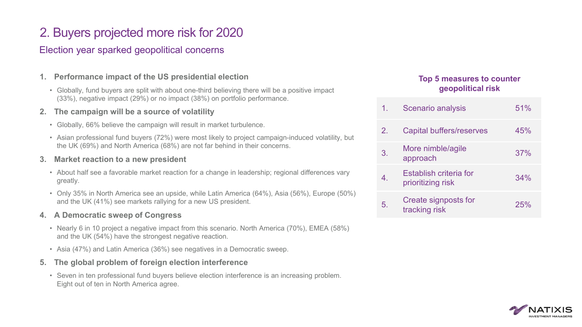### Election year sparked geopolitical concerns

#### **1. Performance impact of the US presidential election**

- Globally, fund buyers are split with about one-third believing there will be a positive impact (33%), negative impact (29%) or no impact (38%) on portfolio performance.
- **2. The campaign will be a source of volatility**
	- Globally, 66% believe the campaign will result in market turbulence.
	- Asian professional fund buyers (72%) were most likely to project campaign-induced volatility, but the UK (69%) and North America (68%) are not far behind in their concerns.

#### **3. Market reaction to a new president**

- About half see a favorable market reaction for a change in leadership; regional differences vary greatly.
- Only 35% in North America see an upside, while Latin America (64%), Asia (56%), Europe (50%) and the UK (41%) see markets rallying for a new US president.

#### **4. A Democratic sweep of Congress**

- Nearly 6 in 10 project a negative impact from this scenario. North America (70%), EMEA (58%) and the UK (54%) have the strongest negative reaction.
- Asia (47%) and Latin America (36%) see negatives in a Democratic sweep.
- **5. The global problem of foreign election interference**
	- Seven in ten professional fund buyers believe election interference is an increasing problem. Eight out of ten in North America agree.

#### **Top 5 measures to counter geopolitical risk**

| $1_{\cdot}$ | <b>Scenario analysis</b>                    | 51% |
|-------------|---------------------------------------------|-----|
| 2.          | <b>Capital buffers/reserves</b>             | 45% |
| 3.          | More nimble/agile<br>approach               | 37% |
| 4.          | Establish criteria for<br>prioritizing risk | 34% |
| 5.          | Create signposts for<br>tracking risk       | 25% |

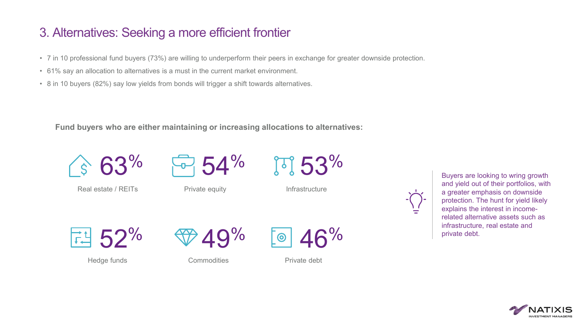### 3. Alternatives: Seeking a more efficient frontier

- 7 in 10 professional fund buyers (73%) are willing to underperform their peers in exchange for greater downside protection.
- 61% say an allocation to alternatives is a must in the current market environment.
- 8 in 10 buyers (82%) say low yields from bonds will trigger a shift towards alternatives.

**Fund buyers who are either maintaining or increasing allocations to alternatives:**



 $-0.54%$ 

Real estate / REITs

Private equity

JJ 53%

**Infrastructure** 



Buyers are looking to wring growth and yield out of their portfolios, with a greater emphasis on downside protection. The hunt for yield likely explains the interest in incomerelated alternative assets such as infrastructure, real estate and private debt.



49%

Hedge funds

**Commodities** 

Private debt

 $\odot$ 

 $6\%$ 

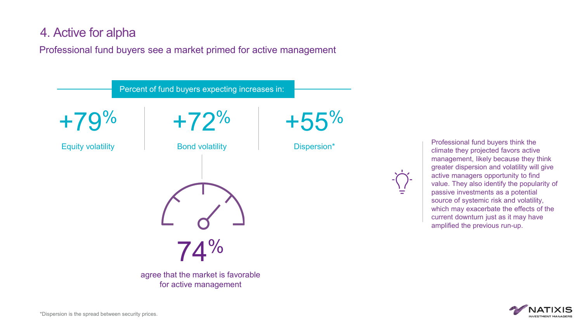### 4. Active for alpha

Professional fund buyers see a market primed for active management



Professional fund buyers think the climate they projected favors active management, likely because they think greater dispersion and volatility will give active managers opportunity to find value. They also identify the popularity of passive investments as a potential source of systemic risk and volatility, which may exacerbate the effects of the current downturn just as it may have amplified the previous run-up.

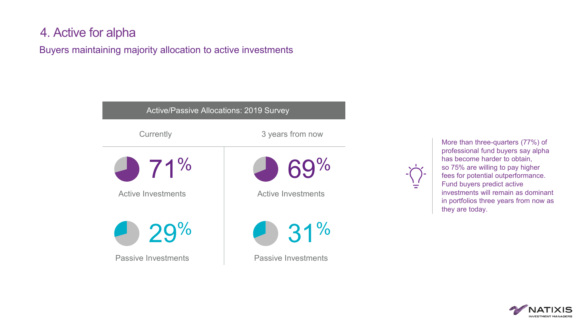### 4. Active for alpha

Buyers maintaining majority allocation to active investments





More than three-quarters (77%) of professional fund buyers say alpha has become harder to obtain, so 75% are willing to pay higher fees for potential outperformance. Fund buyers predict active investments will remain as dominant in portfolios three years from now as they are today.

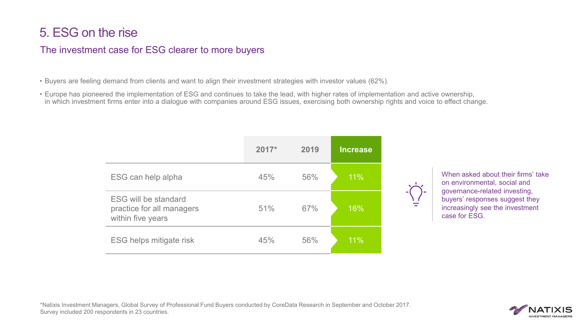### 5. ESG on the rise

#### The investment case for ESG clearer to more buyers

• Buyers are feeling demand from clients and want to align their investment strategies with investor values (62%).

• Europe has pioneered the implementation of ESG and continues to take the lead, with higher rates of implementation and active ownership, in which investment firms enter into a dialogue with companies around ESG issues, exercising both ownership rights and voice to effect change.

|                                                                               | $2017*$ | 2019 | <b>Increase</b> |
|-------------------------------------------------------------------------------|---------|------|-----------------|
| ESG can help alpha                                                            | 45%     | 56%  | 11%             |
| <b>ESG will be standard</b><br>practice for all managers<br>within five years | 51%     | 67%  | 16%             |
| <b>ESG helps mitigate risk</b>                                                | 45%     | 56%  | 11%             |

When asked about their firms' take on environmental, social and governance-related investing, buyers' responses suggest they increasingly see the investment case for ESG.

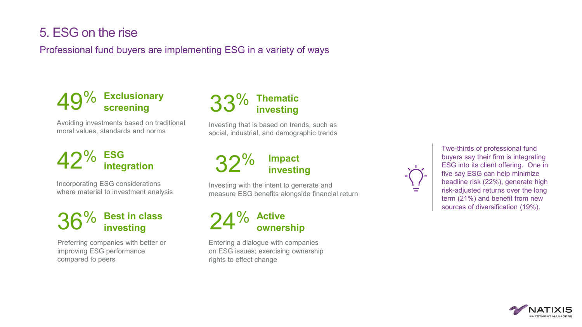### 5. ESG on the rise

Professional fund buyers are implementing ESG in a variety of ways



Avoiding investments based on traditional moral values, standards and norms



Incorporating ESG considerations where material to investment analysis



Preferring companies with better or improving ESG performance compared to peers



Investing that is based on trends, such as social, industrial, and demographic trends



Investing with the intent to generate and measure ESG benefits alongside financial return



Entering a dialogue with companies on ESG issues; exercising ownership rights to effect change



Two-thirds of professional fund buyers say their firm is integrating ESG into its client offering. One in five say ESG can help minimize headline risk (22%), generate high risk-adjusted returns over the long term (21%) and benefit from new sources of diversification (19%).

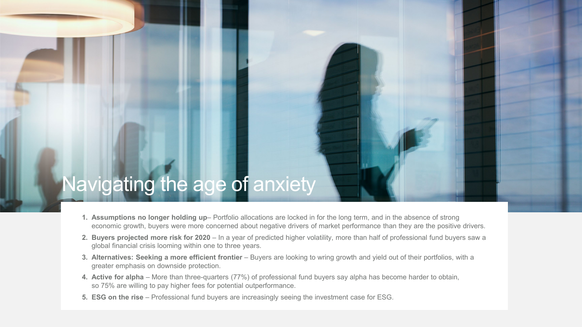## Navigating the age of anxiety

- **1. Assumptions no longer holding up** Portfolio allocations are locked in for the long term, and in the absence of strong economic growth, buyers were more concerned about negative drivers of market performance than they are the positive drivers.
- **2. Buyers projected more risk for 2020**  In a year of predicted higher volatility, more than half of professional fund buyers saw a global financial crisis looming within one to three years.
- **3. Alternatives: Seeking a more efficient frontier** Buyers are looking to wring growth and yield out of their portfolios, with a greater emphasis on downside protection.
- **4. Active for alpha**  More than three-quarters (77%) of professional fund buyers say alpha has become harder to obtain, so 75% are willing to pay higher fees for potential outperformance.
- **5. ESG on the rise** Professional fund buyers are increasingly seeing the investment case for ESG.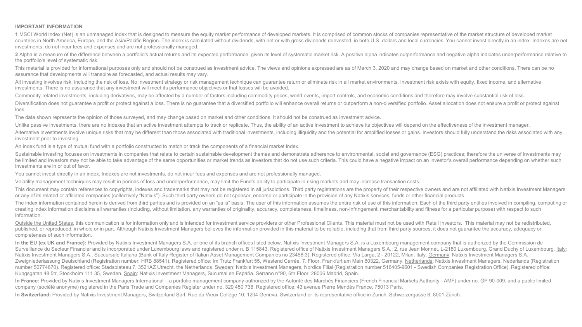#### **IMPORTANT INFORMATION**

1 MSCI World Index (Net) is an unmanaged index that is designed to measure the equity market performance of developed markets. It is comprised of common stocks of companies representative of the market structure of develop countries in North America, Europe, and the Asia/Pacific Region. The index is calculated without dividends, with net or with gross dividends reinvested, in both U.S. dollars and local currencies. You cannot invest directly investments, do not incur fees and expenses and are not professionally managed.

2 Alpha is a measure of the difference between a portfolio's actual returns and its expected performance, given its level of systematic market risk. A positive alpha indicates outperformance and negative alpha indicates un the portfolio's level of systematic risk.

This material is provided for informational purposes only and should not be construed as investment advice. The views and opinions expressed are as of March 3, 2020 and may change based on market and other conditions. Ther assurance that developments will transpire as forecasted, and actual results may vary.

All investing involves risk, including the risk of loss. No investment strategy or risk management technique can guarantee return or eliminate risk in all market environments. Investment risk exists with equity, fixed inco investments. There is no assurance that any investment will meet its performance objectives or that losses will be avoided.

Commodity-related investments, including derivatives, may be affected by a number of factors including commodity prices, world events, import controls, and economic conditions and therefore may involve substantial risk of

Diversification does not guarantee a profit or protect against a loss. There is no guarantee that a diversified portfolio will enhance overall returns or outperform a non-diversified portfolio. Asset allocation does not en loss.

The data shown represents the opinion of those surveyed, and may change based on market and other conditions. It should not be construed as investment advice.

Unlike passive investments, there are no indexes that an active investment attempts to track or replicate. Thus, the ability of an active investment to achieve its objectives will depend on the effectiveness of the investm

Alternative investments involve unique risks that may be different than those associated with traditional investments, including illiquidity and the potential for amplified losses or gains. Investors should fully understan investment prior to investing.

An index fund is a type of mutual fund with a portfolio constructed to match or track the components of a financial market index.

Sustainable investing focuses on investments in companies that relate to certain sustainable development themes and demonstrate adherence to environmental, social and governance (ESG) practices; therefore the universe of i be limited and investors may not be able to take advantage of the same opportunities or market trends as investors that do not use such criteria. This could have a negative impact on an investor's overall performance depen investments are in or out of favor.

You cannot invest directly in an index. Indexes are not investments, do not incur fees and expenses and are not professionally managed.

Volatility management techniques may result in periods of loss and underperformance, may limit the Fund's ability to participate in rising markets and may increase transaction costs.

This document may contain references to copyrights, indexes and trademarks that may not be registered in all jurisdictions. Third party registrations are the property of their respective owners and are not affiliated with or any of its related or affiliated companies (collectively "Natixis"). Such third party owners do not sponsor, endorse or participate in the provision of any Natixis services, funds or other financial products.

The index information contained herein is derived from third parties and is provided on an "as is" basis. The user of this information assumes the entire risk of use of this information. Each of the third party entities in creating index information disclaims all warranties (including, without limitation, any warranties of originality, accuracy, completeness, timeliness, non-infringement, merchantability and fitness for a particular purpose) information.

Outside the United States, this communication is for information only and is intended for investment service providers or other Professional Clients. This material must not be used with Retail Investors. This material may published, or reproduced, in whole or in part. Although Natixis Investment Managers believes the information provided in this material to be reliable, including that from third party sources, it does not quarantee the accu completeness of such information.

In the EU (ex UK and France): Provided by Natixis Investment Managers S.A. or one of its branch offices listed below. Natixis Investment Managers S.A. is a Luxembourg management company that is authorized by the Commission Surveillance du Secteur Financier and is incorporated under Luxembourg laws and registered under n. B 115843. Registered office of Natixis Investment Managers S.A.: 2, rue Jean Monnet, L-2180 Luxembourg, Grand Duchy of Lux Natixis Investment Managers S.A., Succursale Italiana (Bank of Italy Register of Italian Asset Management Companies no 23458.3). Registered office: Via Larga, 2 - 20122, Milan, Italy. Germany: Natixis Investment Managers S Zweigniederlassung Deutschland (Registration number: HRB 88541). Registered office: Im Trutz Frankfurt 55, Westend Carrée, 7. Floor, Frankfurt am Main 60322, Germany. Netherlands: Natixis Investment Managers, Nederlands (R number 50774670). Registered office: Stadsplateau 7, 3521AZ Utrecht, the Netherlands. Sweden: Natixis Investment Managers, Nordics Filial (Registration number 516405-9601 - Swedish Companies Registration Office). Registere Kungsgatan 48 5tr, Stockholm 111 35, Sweden. Spain: Natixis Investment Managers, Sucursal en España. Serrano n°90, 6th Floor, 28006 Madrid, Spain.

In France: Provided by Natixis Investment Managers International - a portfolio management company authorized by the Autorité des Marchés Financiers (French Financial Markets Authority - AMF) under no. GP 90-009, and a publ company (société anonyme) registered in the Paris Trade and Companies Register under no. 329 450 738. Registered office: 43 avenue Pierre Mendès France, 75013 Paris.

**In Switzerland:** Provided by Natixis Investment Managers, Switzerland Sàrl, Rue du Vieux Collège 10, 1204 Geneva, Switzerland or its representative office in Zurich, Schweizergasse 6, 8001 Zürich.